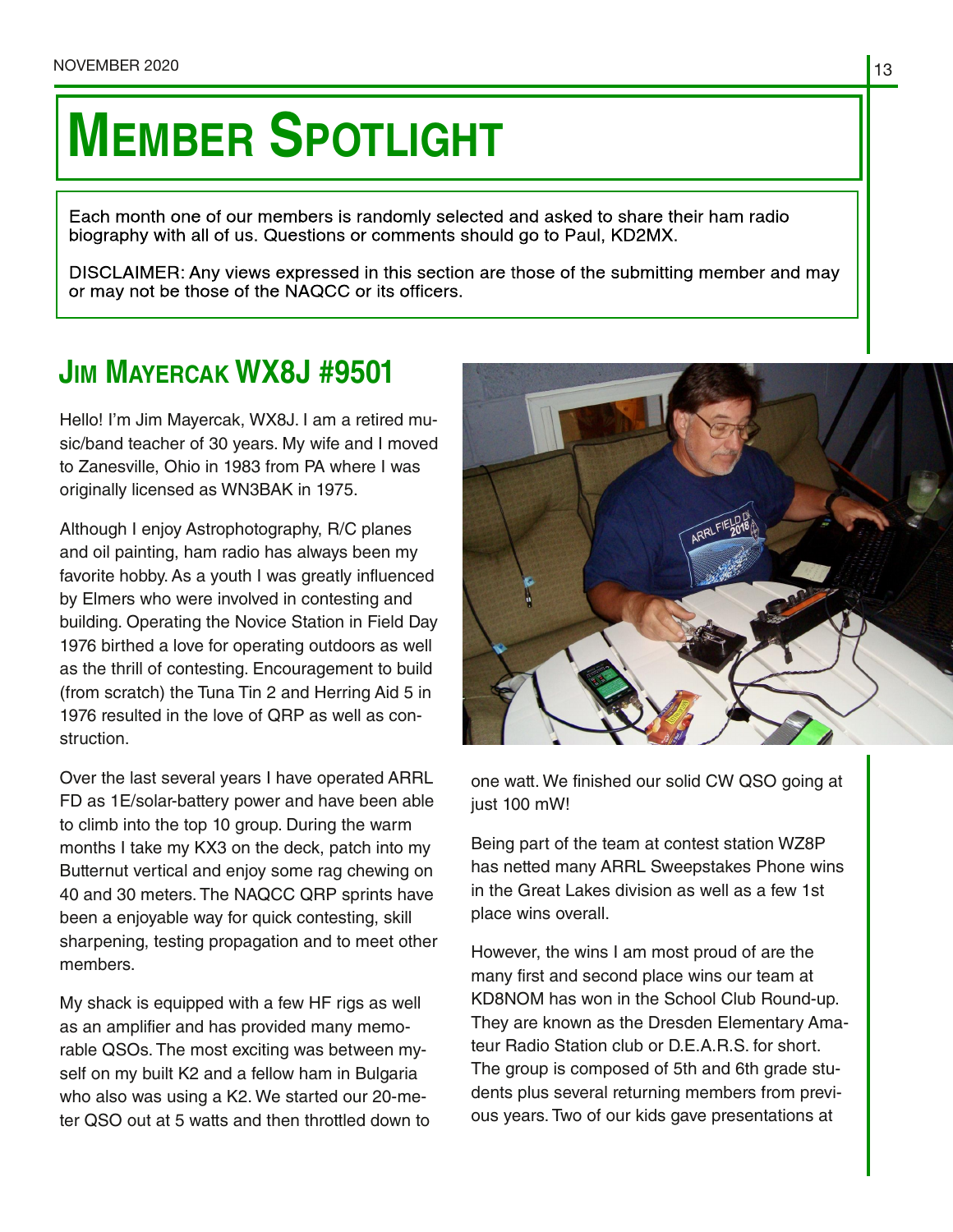## **MEMBER SPOTLIGHT**

Each month one of our members is randomly selected and asked to share their ham radio biography with all of us. Questions or comments should go to Paul, KD2MX.

DISCLAIMER: Any views expressed in this section are those of the submitting member and may or may not be those of the NAQCC or its officers.

## **JIM MAYERCAK WX8J #9501**

Hello! I'm Jim Mayercak, WX8J. I am a retired mu‐ sic/band teacher of 30 years. My wife and I moved to Zanesville, Ohio in 1983 from PA where I was originally licensed as WN3BAK in 1975.

Although I enjoy Astrophotography, R/C planes and oil painting, ham radio has always been my favorite hobby. As a youth I was greatly influenced by Elmers who were involved in contesting and building. Operating the Novice Station in Field Day 1976 birthed a love for operating outdoors as well as the thrill of contesting. Encouragement to build (from scratch) the Tuna Tin 2 and Herring Aid 5 in 1976 resulted in the love of QRP as well as con‐ struction.

Over the last several years I have operated ARRL FD as 1E/solar-battery power and have been able to climb into the top 10 group. During the warm months I take my KX3 on the deck, patch into my Butternut vertical and enjoy some rag chewing on 40 and 30 meters. The NAQCC QRP sprints have been a enjoyable way for quick contesting, skill sharpening, testing propagation and to meet other members.

My shack is equipped with a few HF rigs as well as an amplifier and has provided many memo‐ rable QSOs. The most exciting was between my‐ self on my built K2 and a fellow ham in Bulgaria who also was using a K2. We started our 20-me‐ ter QSO out at 5 watts and then throttled down to



one watt. We finished our solid CW QSO going at just 100 mW!

Being part of the team at contest station WZ8P has netted many ARRL Sweepstakes Phone wins in the Great Lakes division as well as a few 1st place wins overall.

However, the wins I am most proud of are the many first and second place wins our team at KD8NOM has won in the School Club Round-up. They are known as the Dresden Elementary Ama‐ teur Radio Station club or D.E.A.R.S. for short. The group is composed of 5th and 6th grade stu‐ dents plus several returning members from previ‐ ous years. Two of our kids gave presentations at